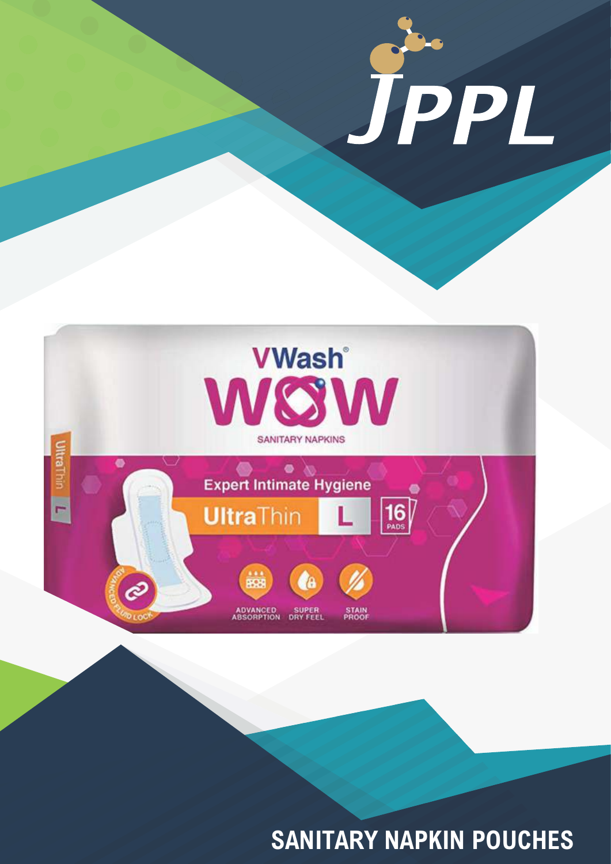

**SANITARY NAPKIN POUCHES**

JPPL